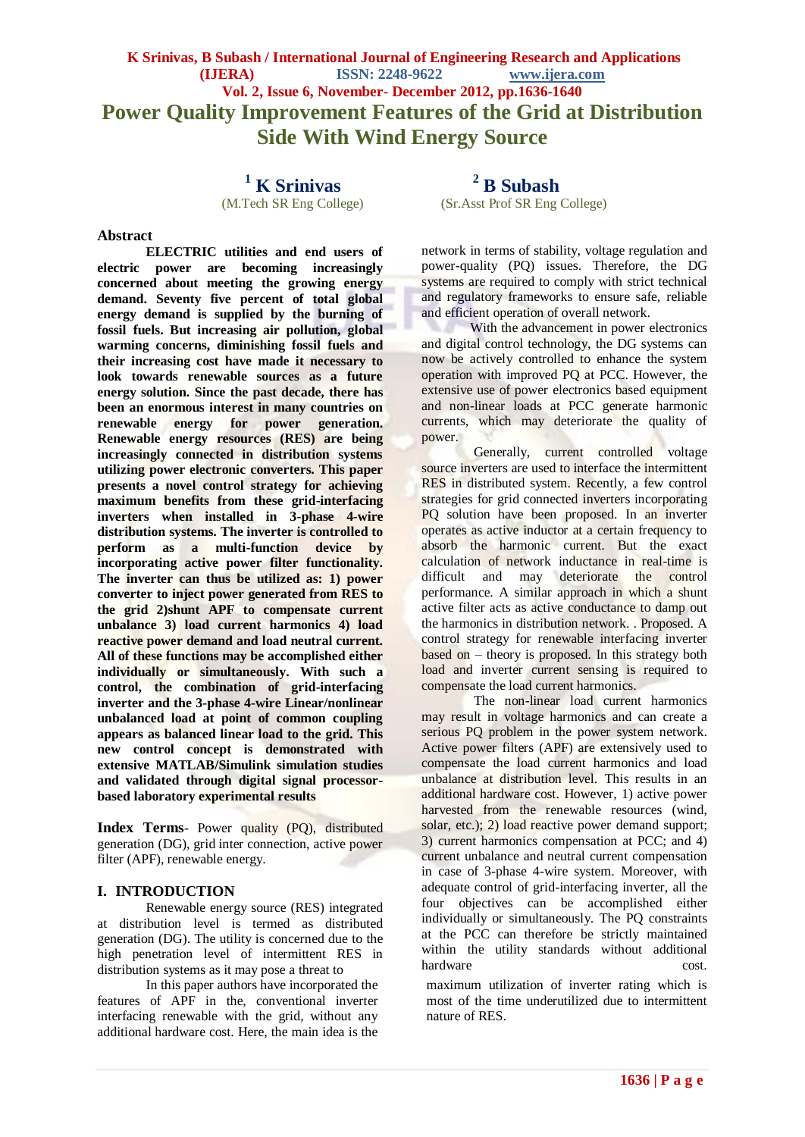# **K Srinivas, B Subash / International Journal of Engineering Research and Applications (IJERA) ISSN: 2248-9622 www.ijera.com Vol. 2, Issue 6, November- December 2012, pp.1636-1640 Power Quality Improvement Features of the Grid at Distribution Side With Wind Energy Source**

<sup>1</sup> **K Srinivas** (M.Tech SR Eng College)

#### **Abstract**

**ELECTRIC utilities and end users of electric power are becoming increasingly concerned about meeting the growing energy demand. Seventy five percent of total global energy demand is supplied by the burning of fossil fuels. But increasing air pollution, global warming concerns, diminishing fossil fuels and their increasing cost have made it necessary to look towards renewable sources as a future energy solution. Since the past decade, there has been an enormous interest in many countries on renewable energy for power generation. Renewable energy resources (RES) are being increasingly connected in distribution systems utilizing power electronic converters. This paper presents a novel control strategy for achieving maximum benefits from these grid-interfacing inverters when installed in 3-phase 4-wire distribution systems. The inverter is controlled to perform as a multi-function device by incorporating active power filter functionality. The inverter can thus be utilized as: 1) power converter to inject power generated from RES to the grid 2)shunt APF to compensate current unbalance 3) load current harmonics 4) load reactive power demand and load neutral current. All of these functions may be accomplished either individually or simultaneously. With such a control, the combination of grid-interfacing inverter and the 3-phase 4-wire Linear/nonlinear unbalanced load at point of common coupling appears as balanced linear load to the grid. This new control concept is demonstrated with extensive MATLAB/Simulink simulation studies and validated through digital signal processorbased laboratory experimental results**

**Index Terms***-* Power quality (PQ), distributed generation (DG), grid inter connection, active power filter (APF), renewable energy.

#### **I. INTRODUCTION**

Renewable energy source (RES) integrated at distribution level is termed as distributed generation (DG). The utility is concerned due to the high penetration level of intermittent RES in distribution systems as it may pose a threat to

In this paper authors have incorporated the features of APF in the, conventional inverter interfacing renewable with the grid, without any additional hardware cost. Here, the main idea is the

**<sup>2</sup> B Subash** (Sr.Asst Prof SR Eng College)

network in terms of stability, voltage regulation and power-quality (PQ) issues. Therefore, the DG systems are required to comply with strict technical and regulatory frameworks to ensure safe, reliable and efficient operation of overall network.

With the advancement in power electronics and digital control technology, the DG systems can now be actively controlled to enhance the system operation with improved PQ at PCC. However, the extensive use of power electronics based equipment and non-linear loads at PCC generate harmonic currents, which may deteriorate the quality of power.

Generally, current controlled voltage source inverters are used to interface the intermittent RES in distributed system. Recently, a few control strategies for grid connected inverters incorporating PQ solution have been proposed. In an inverter operates as active inductor at a certain frequency to absorb the harmonic current. But the exact calculation of network inductance in real-time is difficult and may deteriorate the control performance. A similar approach in which a shunt active filter acts as active conductance to damp out the harmonics in distribution network. . Proposed. A control strategy for renewable interfacing inverter based on – theory is proposed. In this strategy both load and inverter current sensing is required to compensate the load current harmonics.

The non-linear load current harmonics may result in voltage harmonics and can create a serious PQ problem in the power system network. Active power filters (APF) are extensively used to compensate the load current harmonics and load unbalance at distribution level. This results in an additional hardware cost. However, 1) active power harvested from the renewable resources (wind, solar, etc.); 2) load reactive power demand support; 3) current harmonics compensation at PCC; and 4) current unbalance and neutral current compensation in case of 3-phase 4-wire system. Moreover, with adequate control of grid-interfacing inverter, all the four objectives can be accomplished either individually or simultaneously. The PQ constraints at the PCC can therefore be strictly maintained within the utility standards without additional hardware cost.

maximum utilization of inverter rating which is most of the time underutilized due to intermittent nature of RES.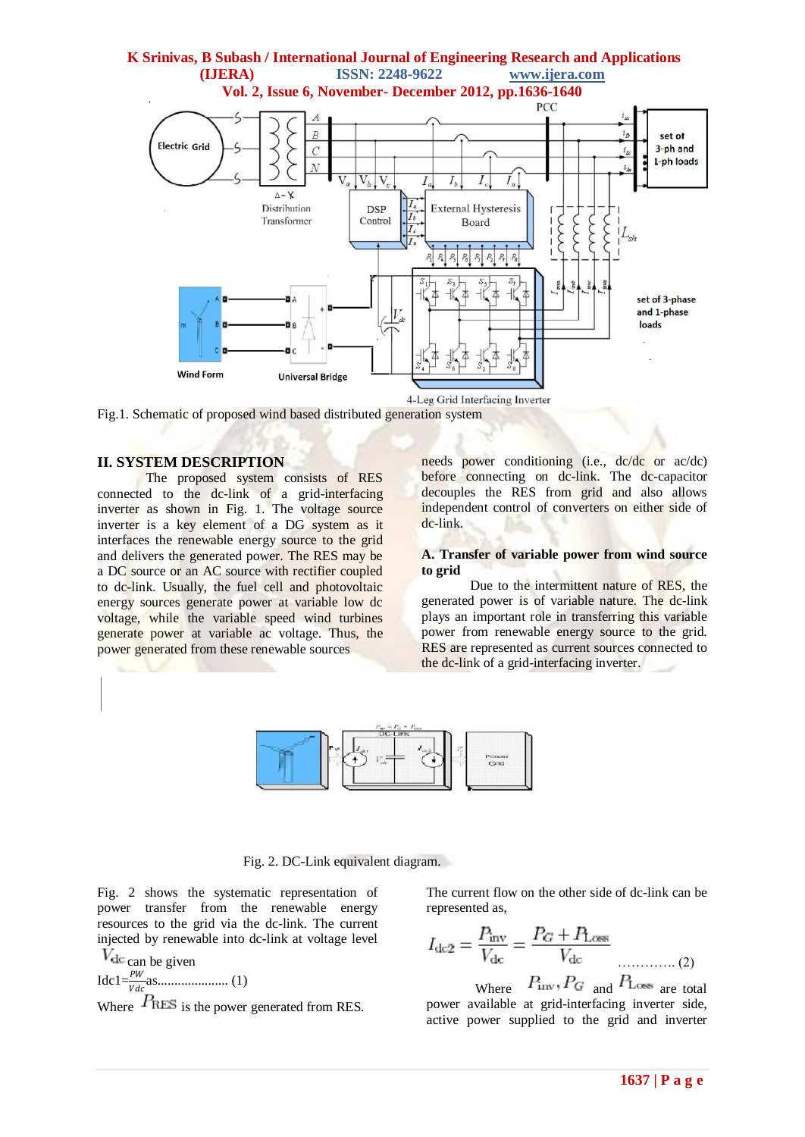

4-Leg Grid Interfacing Inverter

Fig.1. Schematic of proposed wind based distributed generation system

#### **II. SYSTEM DESCRIPTION**

The proposed system consists of RES connected to the dc-link of a grid-interfacing inverter as shown in Fig. 1. The voltage source inverter is a key element of a DG system as it interfaces the renewable energy source to the grid and delivers the generated power. The RES may be a DC source or an AC source with rectifier coupled to dc-link. Usually, the fuel cell and photovoltaic energy sources generate power at variable low dc voltage, while the variable speed wind turbines generate power at variable ac voltage. Thus, the power generated from these renewable sources

needs power conditioning (i.e., dc/dc or ac/dc) before connecting on dc-link. The dc-capacitor decouples the RES from grid and also allows independent control of converters on either side of dc-link.

#### **A. Transfer of variable power from wind source to grid**

Due to the intermittent nature of RES, the generated power is of variable nature. The dc-link plays an important role in transferring this variable power from renewable energy source to the grid. RES are represented as current sources connected to the dc-link of a grid-interfacing inverter.



### Fig. 2. DC-Link equivalent diagram.

Fig. 2 shows the systematic representation of power transfer from the renewable energy resources to the grid via the dc-link. The current injected by renewable into dc-link at voltage level

 $V_{\text{dc}}$  can be given Idc1= as..................... (1)

Where  $P_{\text{RES}}$  is the power generated from RES.

The current flow on the other side of dc-link can be represented as,

$$
I_{\rm dc2} = \frac{P_{\rm inv}}{V_{\rm dc}} = \frac{P_G + P_{\rm Loss}}{V_{\rm dc}}
$$
 (2)

Where  $P_{\text{inv}}, P_G$  and  $P_{\text{Loss}}$  are total power available at grid-interfacing inverter side, active power supplied to the grid and inverter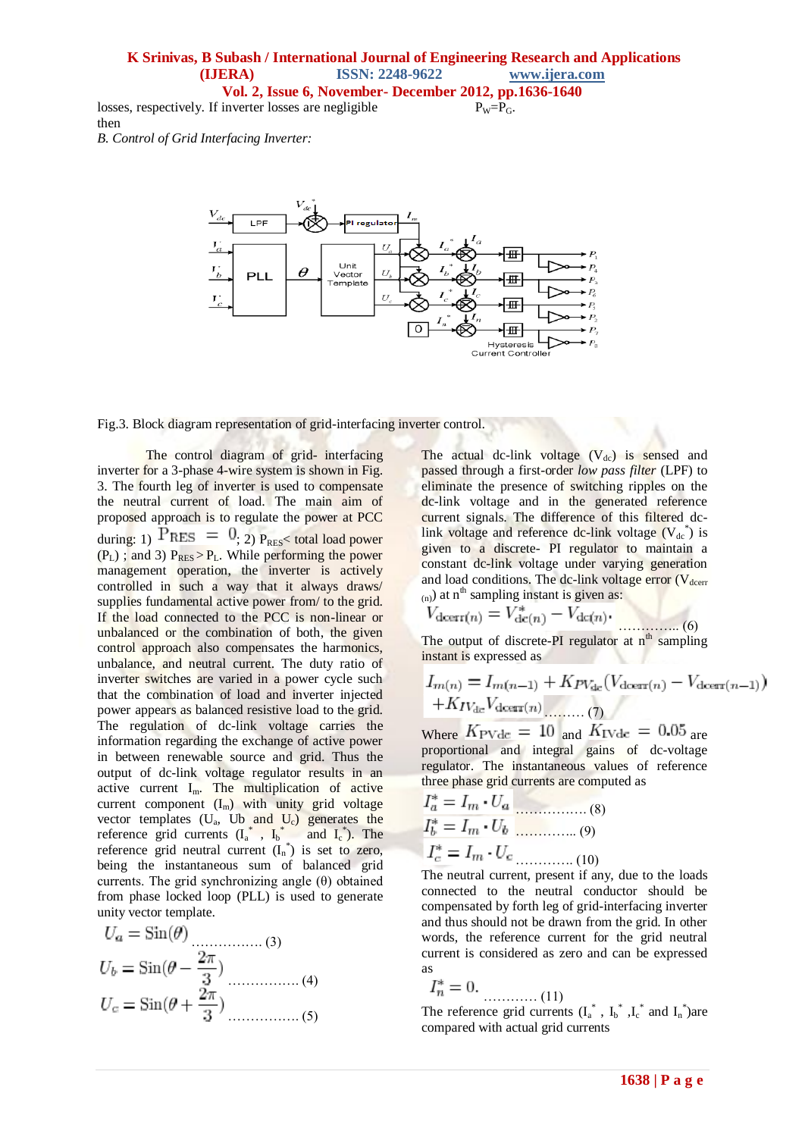## **K Srinivas, B Subash / International Journal of Engineering Research and Applications (IJERA) ISSN: 2248-9622 www.ijera.com Vol. 2, Issue 6, November- December 2012, pp.1636-1640**

 $P_W = P_G$ .

losses, respectively. If inverter losses are negligible then

*B. Control of Grid Interfacing Inverter:*



Fig.3. Block diagram representation of grid-interfacing inverter control.

The control diagram of grid- interfacing inverter for a 3-phase 4-wire system is shown in Fig. 3. The fourth leg of inverter is used to compensate the neutral current of load. The main aim of proposed approach is to regulate the power at PCC during: 1)  $P_{RES} = 0$ ; 2)  $P_{RES} <$  total load power  $(P_L)$ ; and 3)  $P_{RES} > P_L$ . While performing the power management operation, the inverter is actively controlled in such a way that it always draws/ supplies fundamental active power from/ to the grid. If the load connected to the PCC is non-linear or unbalanced or the combination of both, the given control approach also compensates the harmonics, unbalance, and neutral current. The duty ratio of inverter switches are varied in a power cycle such that the combination of load and inverter injected power appears as balanced resistive load to the grid. The regulation of dc-link voltage carries the information regarding the exchange of active power in between renewable source and grid. Thus the output of dc-link voltage regulator results in an active current  $I_m$ . The multiplication of active current component  $(I_m)$  with unity grid voltage vector templates  $(U_a, U_b)$  and  $U_c$ ) generates the reference grid currents  $(I_a^*, I_b^*$  and  $I_c^*$ ). The reference grid neutral current  $(I_n^*)$  is set to zero, being the instantaneous sum of balanced grid currents. The grid synchronizing angle  $(\theta)$  obtained from phase locked loop (PLL) is used to generate unity vector template.

$$
U_a = \sin(\theta)
$$
\n
$$
U_b = \sin(\theta - \frac{2\pi}{3})
$$
\n
$$
U_c = \sin(\theta + \frac{2\pi}{3})
$$
\n
$$
(4)
$$
\n
$$
(5)
$$

The actual dc-link voltage  $(V_{dc})$  is sensed and passed through a first-order *low pass filter* (LPF) to eliminate the presence of switching ripples on the dc-link voltage and in the generated reference current signals. The difference of this filtered dclink voltage and reference dc-link voltage  $(V_{dc}^*)$  is given to a discrete- PI regulator to maintain a constant dc-link voltage under varying generation and load conditions. The dc-link voltage error  $(V_{\text{deerr}})$  $(n)$ ) at n<sup>th</sup> sampling instant is given as:

$$
V_{\text{deerr}(n)} = V_{\text{dc}(n)}^* - V_{\text{dc}(n)}.
$$
\n(6)

The output of discrete-PI regulator at  $n^{th}$  sampling instant is expressed as

$$
I_{m(n)} = I_{m(n-1)} + K_{PV_{\text{dc}}}(V_{\text{deerr}(n)} - V_{\text{deerr}(n-1)}) + K_{IV_{\text{dc}}}V_{\text{deerr}(n)}
$$
 (7)

Where  $K_{\text{PVdc}} = 10$  and  $K_{\text{IVdc}} = 0.05$  are proportional and integral gains of dc-voltage regulator. The instantaneous values of reference three phase grid currents are computed as

$$
I_a^* = I_m \cdot U_a \tag{8}
$$

$$
I_b^* = I_m \cdot U_b \tag{9}
$$

$$
I_c^* = I_m \cdot U_c \tag{10}
$$

The neutral current, present if any, due to the loads connected to the neutral conductor should be compensated by forth leg of grid-interfacing inverter and thus should not be drawn from the grid. In other words, the reference current for the grid neutral current is considered as zero and can be expressed as

$$
I_n^* = 0.
$$

………… (11) The reference grid currents  $(I_a^*$ ,  $I_b^*$ ,  $I_c^*$  and  $I_n^*$ ) are compared with actual grid currents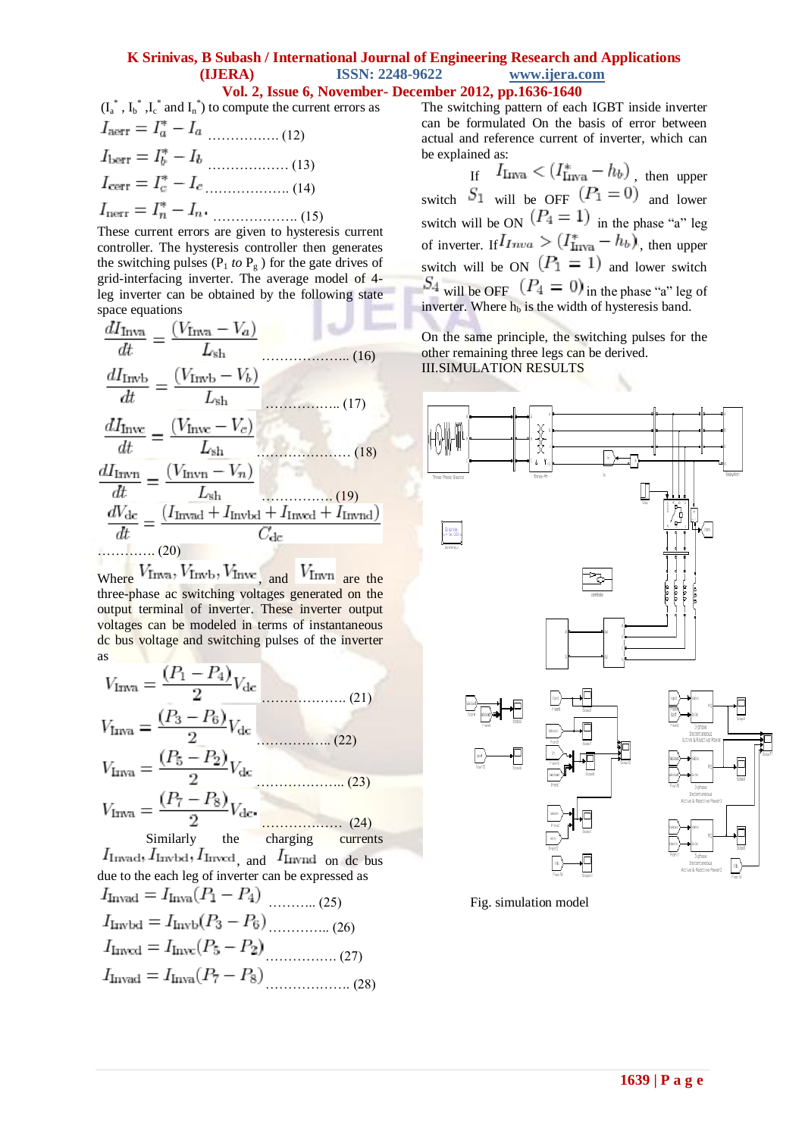## **K Srinivas, B Subash / International Journal of Engineering Research and Applications (IJERA) ISSN: 2248-9622 www.ijera.com Vol. 2, Issue 6, November- December 2012, pp.1636-1640**

$$
(I_a^*, I_b^*, I_c^* \text{ and } I_n^*) \text{ to compute the current errors as}
$$
  
\n
$$
I_{\text{aerr}} = I_a^* - I_a
$$
  
\n
$$
I_{\text{berr}} = I_b^* - I_b
$$
  
\n
$$
I_{\text{cerr}} = I_c^* - I_c
$$
  
\n(13)  
\n
$$
I_{\text{cerr}} = I_a^* - I_a
$$
  
\n(14)  
\n
$$
I_{\text{nerr}} = I_n^* - I_n
$$
  
\n(15)

These current errors are given to hysteresis current controller. The hysteresis controller then generates the switching pulses ( $P_1$  *to*  $P_g$ ) for the gate drives of grid-interfacing inverter. The average model of 4 leg inverter can be obtained by the following state space equations

$$
\frac{dI_{\text{Inva}}}{dt} = \frac{(V_{\text{Inva}} - V_a)}{L_{\text{sh}}}
$$
\n(16)  
\n
$$
\frac{dI_{\text{Invb}}}{dt} = \frac{(V_{\text{Invb}} - V_b)}{L_{\text{sh}}}
$$
\n(17)  
\n
$$
\frac{dI_{\text{Invc}}}{dt} = \frac{(V_{\text{Invc}} - V_c)}{L_{\text{sh}}}
$$
\n(18)  
\n
$$
\frac{dI_{\text{Invn}}}{dt} = \frac{(V_{\text{Invn}} - V_n)}{L_{\text{sh}}}
$$
\n(19)  
\n
$$
\frac{dV_{\text{dc}}}{dt} = \frac{(I_{\text{Invad}} + I_{\text{Invbd}} + I_{\text{Invad}} + I_{\text{Invnd}})}{C_{\text{dc}}}
$$
\n(20)

Where  $V$ Inva,  $V$ Invb,  $V$ Invc<sub>, and</sub>  $V$ Invn are the three-phase ac switching voltages generated on the output terminal of inverter. These inverter output voltages can be modeled in terms of instantaneous dc bus voltage and switching pulses of the inverter as

$$
V_{\text{Irwa}} = \frac{(P_1 - P_4)}{2} V_{\text{dc}}
$$
\n
$$
V_{\text{Irwa}} = \frac{(P_3 - P_6)}{2} V_{\text{dc}}
$$
\n
$$
V_{\text{Irwa}} = \frac{(P_5 - P_2)}{2} V_{\text{dc}}
$$
\n
$$
V_{\text{Irwa}} = \frac{(P_7 - P_8)}{2} V_{\text{dc}}
$$
\n(23)\n
$$
V_{\text{Irwa}} = \frac{(P_7 - P_8)}{2} V_{\text{dc}}
$$
\n(24)

Similarly the charging currents  $I_{\text{Irwad}}$ ,  $I_{\text{Irwbd}}$ ,  $I_{\text{Irwcd}}$  and  $I_{\text{Irwnd}}$  on de bus due to the each leg of inverter can be expressed as  $I_{\text{I} \text{vzdd}} = I_{\text{I} \text{vza}} (P_1 - P_4)$ 

| $I_{\text{Invbd}} = I_{\text{Invb}}(P_3 - P_6) \dots (26)$ |  |
|------------------------------------------------------------|--|
| $I_{\text{Inwd}} = I_{\text{Invc}}(P_5 - P_2)$             |  |
| $I_{\text{Invad}} = I_{\text{Inva}}(P_7 - P_8)$            |  |

The switching pattern of each IGBT inside inverter can be formulated On the basis of error between actual and reference current of inverter, which can be explained as:

If  $I_{\text{Irwa}} < (I^*_{\text{Irwa}} - h_b)$  , then upper switch  $S_1$  will be OFF  $(P_1 = 0)$  and lower switch will be ON  $(P_4 = 1)$  in the phase "a" leg of inverter. If  $I_{I n v a} > (I_{I n v a}^* - h_b)$ , then upper switch will be ON  $(P_1 = 1)$  and lower switch  $S_4$  will be OFF  $(P_4 = 0)$  in the phase "a" leg of inverter. Where  $h_b$  is the width of hysteresis band.

On the same principle, the switching pulses for the other remaining three legs can be derived. III.SIMULATION RESULTS